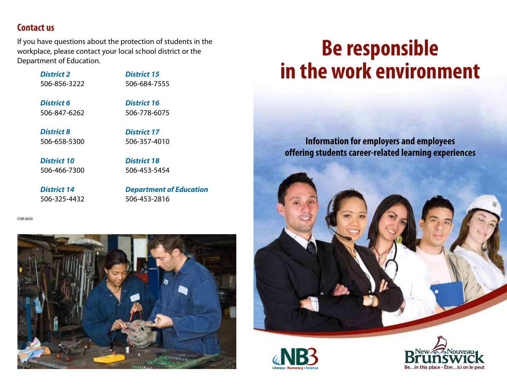### **Contact us**

If you have questions about the protection of students in the workplace, please contact your local school district or the Department of Education.

> *District 2* 506-856-3222

*District 15* 506-684-7555

*District 6* 506-847-6262

*District 16* 506-778-6075

*District 8* 506-658-5300 *District 17* 506-357-4010

*District 10* 506-466-7300

*District 14* 506-325-4432 *District 18* 506-453-5454

*Department of Education* 506-453-2816

**Be responsible in the work environment**

**Information for employers and employees offering students career-related learning experiences** 







CNB 6650